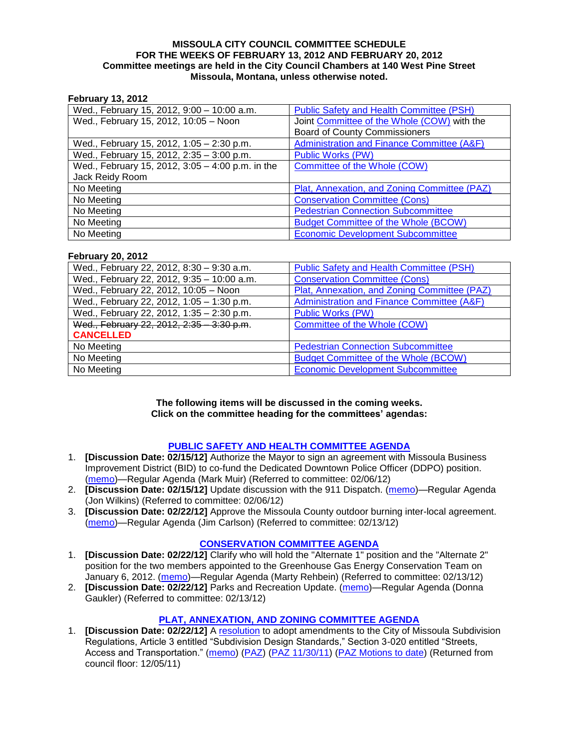#### **MISSOULA CITY COUNCIL COMMITTEE SCHEDULE FOR THE WEEKS OF FEBRUARY 13, 2012 AND FEBRUARY 20, 2012 Committee meetings are held in the City Council Chambers at 140 West Pine Street Missoula, Montana, unless otherwise noted.**

#### **February 13, 2012**

| Wed., February 15, 2012, 9:00 - 10:00 a.m.       | <b>Public Safety and Health Committee (PSH)</b> |
|--------------------------------------------------|-------------------------------------------------|
| Wed., February 15, 2012, 10:05 - Noon            | Joint Committee of the Whole (COW) with the     |
|                                                  | <b>Board of County Commissioners</b>            |
| Wed., February 15, 2012, 1:05 - 2:30 p.m.        | Administration and Finance Committee (A&F)      |
| Wed., February 15, 2012, 2:35 - 3:00 p.m.        | <b>Public Works (PW)</b>                        |
| Wed., February 15, 2012, 3:05 - 4:00 p.m. in the | Committee of the Whole (COW)                    |
| Jack Reidy Room                                  |                                                 |
| No Meeting                                       | Plat, Annexation, and Zoning Committee (PAZ)    |
| No Meeting                                       | <b>Conservation Committee (Cons)</b>            |
| No Meeting                                       | <b>Pedestrian Connection Subcommittee</b>       |
| No Meeting                                       | <b>Budget Committee of the Whole (BCOW)</b>     |
| No Meeting                                       | <b>Economic Development Subcommittee</b>        |

#### **February 20, 2012**

| Wed., February 22, 2012, 8:30 - 9:30 a.m.  | Public Safety and Health Committee (PSH)     |
|--------------------------------------------|----------------------------------------------|
| Wed., February 22, 2012, 9:35 - 10:00 a.m. | <b>Conservation Committee (Cons)</b>         |
| Wed., February 22, 2012, 10:05 - Noon      | Plat, Annexation, and Zoning Committee (PAZ) |
| Wed., February 22, 2012, 1:05 - 1:30 p.m.  | Administration and Finance Committee (A&F)   |
| Wed., February 22, 2012, 1:35 - 2:30 p.m.  | <b>Public Works (PW)</b>                     |
| Wed., February 22, 2012, 2:35 - 3:30 p.m.  | Committee of the Whole (COW)                 |
| <b>CANCELLED</b>                           |                                              |
| No Meeting                                 | <b>Pedestrian Connection Subcommittee</b>    |
| No Meeting                                 | <b>Budget Committee of the Whole (BCOW)</b>  |
| No Meeting                                 | <b>Economic Development Subcommittee</b>     |

**The following items will be discussed in the coming weeks. Click on the committee heading for the committees' agendas:**

#### **[PUBLIC SAFETY AND HEALTH COMMITTEE AGENDA](http://www.ci.missoula.mt.us/DocumentCenterii.aspx?FID=836)**

- 1. **[Discussion Date: 02/15/12]** Authorize the Mayor to sign an agreement with Missoula Business Improvement District (BID) to co-fund the Dedicated Downtown Police Officer (DDPO) position. [\(memo\)](http://www.ci.missoula.mt.us/DocumentView.aspx?DID=8108)—Regular Agenda (Mark Muir) (Referred to committee: 02/06/12)
- 2. **[Discussion Date: 02/15/12]** Update discussion with the 911 Dispatch. [\(memo\)](http://www.ci.missoula.mt.us/DocumentView.aspx?DID=8107)—Regular Agenda (Jon Wilkins) (Referred to committee: 02/06/12)
- 3. **[Discussion Date: 02/22/12]** Approve the Missoula County outdoor burning inter-local agreement. [\(memo\)](http://www.ci.missoula.mt.us/DocumentView.aspx?DID=8203)—Regular Agenda (Jim Carlson) (Referred to committee: 02/13/12)

#### **[CONSERVATION COMMITTEE AGENDA](http://www.ci.missoula.mt.us/DocumentCenterii.aspx?FID=832)**

- 1. **[Discussion Date: 02/22/12]** Clarify who will hold the "Alternate 1" position and the "Alternate 2" position for the two members appointed to the Greenhouse Gas Energy Conservation Team on January 6, 2012. [\(memo\)](http://www.ci.missoula.mt.us/DocumentView.aspx?DID=8197)—Regular Agenda (Marty Rehbein) (Referred to committee: 02/13/12)
- 2. **[Discussion Date: 02/22/12]** Parks and Recreation Update. [\(memo\)](http://www.ci.missoula.mt.us/DocumentView.aspx?DID=8194)—Regular Agenda (Donna Gaukler) (Referred to committee: 02/13/12)

#### **[PLAT, ANNEXATION, AND ZONING COMMITTEE AGENDA](http://www.ci.missoula.mt.us/DocumentCenterii.aspx?FID=831)**

1. **[Discussion Date: 02/22/12]** A [resolution](http://www.ci.missoula.mt.us/DocumentView.aspx?DID=7484) to adopt amendments to the City of Missoula Subdivision Regulations, Article 3 entitled "Subdivision Design Standards," Section 3-020 entitled "Streets, Access and Transportation." [\(memo\)](http://www.ci.missoula.mt.us/DocumentView.aspx?DID=7491) [\(PAZ\)](http://www.ci.missoula.mt.us/Archive.aspx?ADID=4684) [\(PAZ 11/30/11\)](http://www.ci.missoula.mt.us/Archive.aspx?ADID=4786) [\(PAZ Motions to date\)](http://www.ci.missoula.mt.us/DocumentView.aspx?DID=8115) (Returned from council floor: 12/05/11)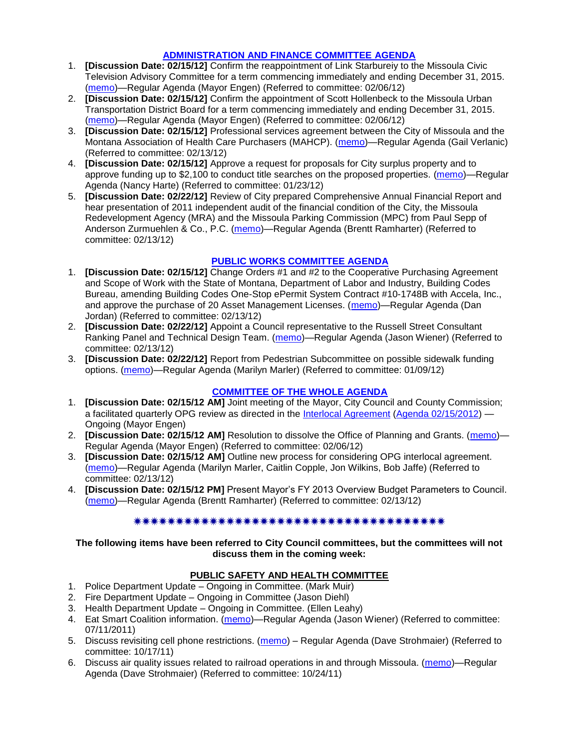### **[ADMINISTRATION AND FINANCE COMMITTEE](http://www.ci.missoula.mt.us/DocumentCenterii.aspx?FID=830) AGENDA**

- 1. **[Discussion Date: 02/15/12]** Confirm the reappointment of Link Starbureiy to the Missoula Civic Television Advisory Committee for a term commencing immediately and ending December 31, 2015. [\(memo\)](http://www.ci.missoula.mt.us/DocumentView.aspx?DID=8044)—Regular Agenda (Mayor Engen) (Referred to committee: 02/06/12)
- 2. **[Discussion Date: 02/15/12]** Confirm the appointment of Scott Hollenbeck to the Missoula Urban Transportation District Board for a term commencing immediately and ending December 31, 2015. [\(memo\)](http://www.ci.missoula.mt.us/DocumentView.aspx?DID=8106)—Regular Agenda (Mayor Engen) (Referred to committee: 02/06/12)
- 3. **[Discussion Date: 02/15/12]** Professional services agreement between the City of Missoula and the Montana Association of Health Care Purchasers (MAHCP). [\(memo\)](http://www.ci.missoula.mt.us/DocumentView.aspx?DID=8190)—Regular Agenda (Gail Verlanic) (Referred to committee: 02/13/12)
- 4. **[Discussion Date: 02/15/12]** Approve a request for proposals for City surplus property and to approve funding up to \$2,100 to conduct title searches on the proposed properties. [\(memo\)](http://www.ci.missoula.mt.us/DocumentView.aspx?DID=8007)—Regular Agenda (Nancy Harte) (Referred to committee: 01/23/12)
- 5. **[Discussion Date: 02/22/12]** Review of City prepared Comprehensive Annual Financial Report and hear presentation of 2011 independent audit of the financial condition of the City, the Missoula Redevelopment Agency (MRA) and the Missoula Parking Commission (MPC) from Paul Sepp of Anderson Zurmuehlen & Co., P.C. [\(memo\)](http://www.ci.missoula.mt.us/DocumentView.aspx?DID=8200)—Regular Agenda (Brentt Ramharter) (Referred to committee: 02/13/12)

### **[PUBLIC WORKS COMMITTEE](http://www.ci.missoula.mt.us/DocumentCenterii.aspx?FID=833) AGENDA**

- 1. **[Discussion Date: 02/15/12]** Change Orders #1 and #2 to the Cooperative Purchasing Agreement and Scope of Work with the State of Montana, Department of Labor and Industry, Building Codes Bureau, amending Building Codes One-Stop ePermit System Contract #10-1748B with Accela, Inc., and approve the purchase of 20 Asset Management Licenses. [\(memo\)](http://www.ci.missoula.mt.us/DocumentView.aspx?DID=8195)—Regular Agenda (Dan Jordan) (Referred to committee: 02/13/12)
- 2. **[Discussion Date: 02/22/12]** Appoint a Council representative to the Russell Street Consultant Ranking Panel and Technical Design Team. [\(memo\)](http://www.ci.missoula.mt.us/DocumentView.aspx?DID=8196)—Regular Agenda (Jason Wiener) (Referred to committee: 02/13/12)
- 3. **[Discussion Date: 02/22/12]** Report from Pedestrian Subcommittee on possible sidewalk funding options. [\(memo\)](http://www.ci.missoula.mt.us/DocumentView.aspx?DID=7922)—Regular Agenda (Marilyn Marler) (Referred to committee: 01/09/12)

## **[COMMITTEE OF THE WHOLE AGENDA](http://www.ci.missoula.mt.us/DocumentCenterii.aspx?FID=834)**

- 1. **[Discussion Date: 02/15/12 AM]** Joint meeting of the Mayor, City Council and County Commission; a facilitated quarterly OPG review as directed in the [Interlocal Agreement](ftp://ftp.ci.missoula.mt.us/Documents/Mayor/OPG/Adopted-ILA-2005.pdf) [\(Agenda 02/15/2012\)](http://www.ci.missoula.mt.us/DocumentView.aspx?DID=8205) — Ongoing (Mayor Engen)
- 2. **[Discussion Date: 02/15/12 AM]** Resolution to dissolve the Office of Planning and Grants. [\(memo\)](http://www.ci.missoula.mt.us/DocumentView.aspx?DID=8095) Regular Agenda (Mayor Engen) (Referred to committee: 02/06/12)
- 3. **[Discussion Date: 02/15/12 AM]** Outline new process for considering OPG interlocal agreement. [\(memo\)](http://www.ci.missoula.mt.us/DocumentView.aspx?DID=8191)—Regular Agenda (Marilyn Marler, Caitlin Copple, Jon Wilkins, Bob Jaffe) (Referred to committee: 02/13/12)
- 4. **[Discussion Date: 02/15/12 PM]** Present Mayor's FY 2013 Overview Budget Parameters to Council. [\(memo\)](http://www.ci.missoula.mt.us/DocumentView.aspx?DID=8201)—Regular Agenda (Brentt Ramharter) (Referred to committee: 02/13/12)

#### \*\*\*\*\*\*\*\*\*\*\*\*\*\*\*\*\*\*\*\*\*\*\*\*\*\*\*\*\*\*\*\*\*\*\*\*\*\*

#### **The following items have been referred to City Council committees, but the committees will not discuss them in the coming week:**

## **PUBLIC SAFETY AND HEALTH COMMITTEE**

- 1. Police Department Update Ongoing in Committee. (Mark Muir)
- 2. Fire Department Update Ongoing in Committee (Jason Diehl)
- 3. Health Department Update Ongoing in Committee. (Ellen Leahy)
- 4. Eat Smart Coalition information. [\(memo\)](http://www.ci.missoula.mt.us/DocumentView.aspx?DID=6776)—Regular Agenda (Jason Wiener) (Referred to committee: 07/11/2011)
- 5. Discuss revisiting cell phone restrictions. [\(memo\)](http://www.ci.missoula.mt.us/DocumentView.aspx?DID=7420) Regular Agenda (Dave Strohmaier) (Referred to committee: 10/17/11)
- 6. Discuss air quality issues related to railroad operations in and through Missoula. [\(memo\)](http://www.ci.missoula.mt.us/DocumentView.aspx?DID=7495)—Regular Agenda (Dave Strohmaier) (Referred to committee: 10/24/11)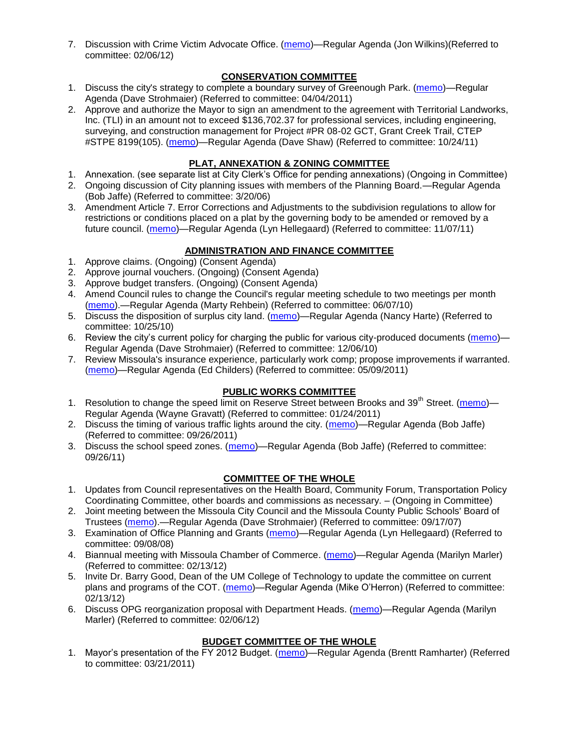7. Discussion with Crime Victim Advocate Office. [\(memo\)](http://www.ci.missoula.mt.us/DocumentView.aspx?DID=8109)—Regular Agenda (Jon Wilkins)(Referred to committee: 02/06/12)

### **CONSERVATION COMMITTEE**

- 1. Discuss the city's strategy to complete a boundary survey of Greenough Park. [\(memo\)](http://www.ci.missoula.mt.us/DocumentView.aspx?DID=5875)—Regular Agenda (Dave Strohmaier) (Referred to committee: 04/04/2011)
- 2. Approve and authorize the Mayor to sign an amendment to the agreement with Territorial Landworks, Inc. (TLI) in an amount not to exceed \$136,702.37 for professional services, including engineering, surveying, and construction management for Project #PR 08-02 GCT, Grant Creek Trail, CTEP #STPE 8199(105). [\(memo\)](http://www.ci.missoula.mt.us/DocumentView.aspx?DID=7494)—Regular Agenda (Dave Shaw) (Referred to committee: 10/24/11)

## **PLAT, ANNEXATION & ZONING COMMITTEE**

- 1. Annexation. (see separate list at City Clerk's Office for pending annexations) (Ongoing in Committee)
- 2. Ongoing discussion of City planning issues with members of the Planning Board.—Regular Agenda (Bob Jaffe) (Referred to committee: 3/20/06)
- 3. Amendment Article 7. Error Corrections and Adjustments to the subdivision regulations to allow for restrictions or conditions placed on a plat by the governing body to be amended or removed by a future council. [\(memo\)](http://www.ci.missoula.mt.us/DocumentView.aspx?DID=7568)—Regular Agenda (Lyn Hellegaard) (Referred to committee: 11/07/11)

# **ADMINISTRATION AND FINANCE COMMITTEE**

- 1. Approve claims. (Ongoing) (Consent Agenda)
- 2. Approve journal vouchers. (Ongoing) (Consent Agenda)
- 3. Approve budget transfers. (Ongoing) (Consent Agenda)
- 4. Amend Council rules to change the Council's regular meeting schedule to two meetings per month [\(memo\)](http://www.ci.missoula.mt.us/DocumentView.aspx?DID=4027).—Regular Agenda (Marty Rehbein) (Referred to committee: 06/07/10)
- 5. Discuss the disposition of surplus city land. [\(memo\)](http://www.ci.missoula.mt.us/DocumentView.aspx?DID=4862)—Regular Agenda (Nancy Harte) (Referred to committee: 10/25/10)
- 6. Review the city's current policy for charging the public for various city-produced documents [\(memo\)](http://www.ci.missoula.mt.us/DocumentView.aspx?DID=5143)-Regular Agenda (Dave Strohmaier) (Referred to committee: 12/06/10)
- 7. Review Missoula's insurance experience, particularly work comp; propose improvements if warranted. [\(memo\)](http://www.ci.missoula.mt.us/DocumentView.aspx?DID=6381)—Regular Agenda (Ed Childers) (Referred to committee: 05/09/2011)

## **PUBLIC WORKS COMMITTEE**

- 1. Resolution to change the speed limit on Reserve Street between Brooks and 39<sup>th</sup> Street. [\(memo\)](http://www.ci.missoula.mt.us/DocumentView.aspx?DID=5418) Regular Agenda (Wayne Gravatt) (Referred to committee: 01/24/2011)
- 2. Discuss the timing of various traffic lights around the city. [\(memo\)](http://www.ci.missoula.mt.us/DocumentView.aspx?DID=7322)—Regular Agenda (Bob Jaffe) (Referred to committee: 09/26/2011)
- 3. Discuss the school speed zones. [\(memo\)](http://www.ci.missoula.mt.us/DocumentView.aspx?DID=7321)—Regular Agenda (Bob Jaffe) (Referred to committee: 09/26/11)

## **COMMITTEE OF THE WHOLE**

- 1. Updates from Council representatives on the Health Board, Community Forum, Transportation Policy Coordinating Committee, other boards and commissions as necessary. – (Ongoing in Committee)
- 2. Joint meeting between the Missoula City Council and the Missoula County Public Schools' Board of Trustees [\(memo\)](ftp://ftp.ci.missoula.mt.us/Packets/Council/2007/2007-09-17/Referrals/Council_School_Board_referral.pdf).—Regular Agenda (Dave Strohmaier) (Referred to committee: 09/17/07)
- 3. Examination of Office Planning and Grants [\(memo\)](ftp://ftp.ci.missoula.mt.us/Packets/Council/2008/2008-09-08/Referrals/080825HendricksonOPGreferral.pdf)—Regular Agenda (Lyn Hellegaard) (Referred to committee: 09/08/08)
- 4. Biannual meeting with Missoula Chamber of Commerce. [\(memo\)](http://www.ci.missoula.mt.us/DocumentView.aspx?DID=8193)—Regular Agenda (Marilyn Marler) (Referred to committee: 02/13/12)
- 5. Invite Dr. Barry Good, Dean of the UM College of Technology to update the committee on current plans and programs of the COT. [\(memo\)](http://www.ci.missoula.mt.us/DocumentView.aspx?DID=8192)—Regular Agenda (Mike O'Herron) (Referred to committee: 02/13/12)
- 6. Discuss OPG reorganization proposal with Department Heads. [\(memo\)](http://www.ci.missoula.mt.us/DocumentView.aspx?DID=8122)—Regular Agenda (Marilyn Marler) (Referred to committee: 02/06/12)

# **BUDGET COMMITTEE OF THE WHOLE**

1. Mayor's presentation of the FY 2012 Budget. [\(memo\)](http://www.ci.missoula.mt.us/DocumentView.aspx?DID=5788)—Regular Agenda (Brentt Ramharter) (Referred to committee: 03/21/2011)